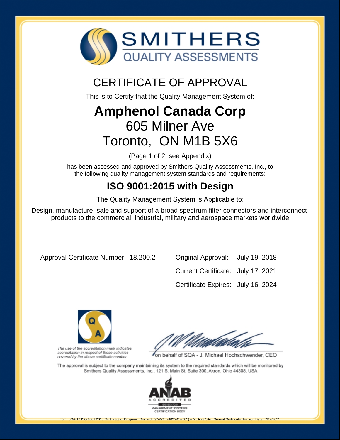

## CERTIFICATE OF APPROVAL

This is to Certify that the Quality Management System of:

# **Amphenol Canada Corp** 605 Milner Ave Toronto, ON M1B 5X6

(Page 1 of 2; see Appendix)

has been assessed and approved by Smithers Quality Assessments, Inc., to the following quality management system standards and requirements:

### **ISO 9001:2015 with Design**

The Quality Management System is Applicable to:

Design, manufacture, sale and support of a broad spectrum filter connectors and interconnect products to the commercial, industrial, military and aerospace markets worldwide

Approval Certificate Number: 18.200.2 Original Approval: July 19, 2018

Current Certificate: July 17, 2021 Certificate Expires: July 16, 2024



The use of the accreditation mark indicates accreditation in respect of those activities covered by the above certificate number.

on behalf of SQA - J. Michael Hochschwender, CEO

The approval is subject to the company maintaining its system to the required standards which will be monitored by Smithers Quality Assessments, Inc., 121 S. Main St. Suite 300, Akron, Ohio 44308, USA